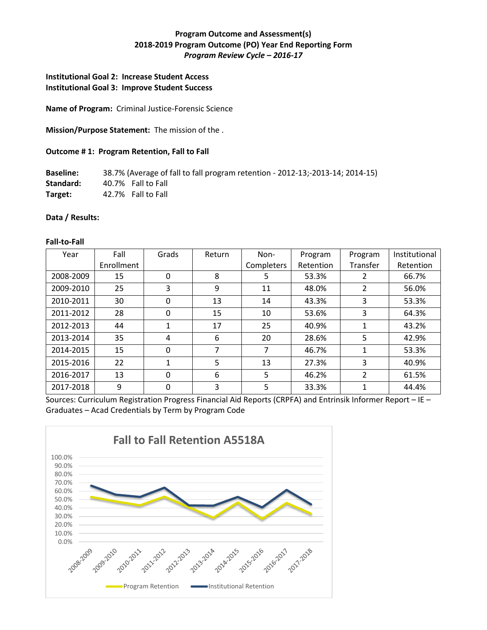# **Program Outcome and Assessment(s) 2018-2019 Program Outcome (PO) Year End Reporting Form** *Program Review Cycle – 2016-17*

## **Institutional Goal 2: Increase Student Access Institutional Goal 3: Improve Student Success**

**Name of Program:** Criminal Justice-Forensic Science

**Mission/Purpose Statement:** The mission of the .

### **Outcome # 1: Program Retention, Fall to Fall**

**Baseline:** 38.7% (Average of fall to fall program retention - 2012-13;-2013-14; 2014-15) **Standard:** 40.7% Fall to Fall **Target:** 42.7% Fall to Fall

### **Data / Results:**

#### **Fall-to-Fall**

| Year      | Fall       | Grads | Return | Non-       | Program   | Program  | Institutional |
|-----------|------------|-------|--------|------------|-----------|----------|---------------|
|           | Enrollment |       |        | Completers | Retention | Transfer | Retention     |
| 2008-2009 | 15         | 0     | 8      | 5          | 53.3%     | 2        | 66.7%         |
| 2009-2010 | 25         | 3     | 9      | 11         | 48.0%     | 2        | 56.0%         |
| 2010-2011 | 30         | 0     | 13     | 14         | 43.3%     | 3        | 53.3%         |
| 2011-2012 | 28         | 0     | 15     | 10         | 53.6%     | 3        | 64.3%         |
| 2012-2013 | 44         |       | 17     | 25         | 40.9%     | 1        | 43.2%         |
| 2013-2014 | 35         | 4     | 6      | 20         | 28.6%     | 5        | 42.9%         |
| 2014-2015 | 15         | 0     | 7      | 7          | 46.7%     | 1        | 53.3%         |
| 2015-2016 | 22         |       | 5      | 13         | 27.3%     | 3        | 40.9%         |
| 2016-2017 | 13         | 0     | 6      | 5          | 46.2%     | 2        | 61.5%         |
| 2017-2018 | 9          | 0     | 3      | 5          | 33.3%     | 1        | 44.4%         |

Sources: Curriculum Registration Progress Financial Aid Reports (CRPFA) and Entrinsik Informer Report – IE – Graduates – Acad Credentials by Term by Program Code

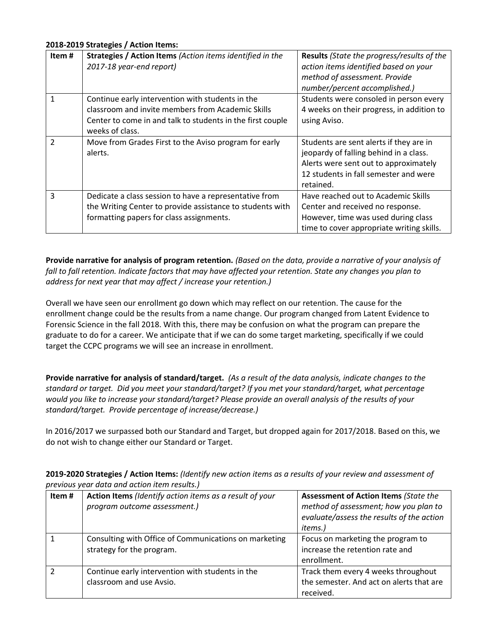### **2018-2019 Strategies / Action Items:**

| Item#         | Strategies / Action Items (Action items identified in the<br>2017-18 year-end report)                                                                                                  | <b>Results</b> (State the progress/results of the<br>action items identified based on your<br>method of assessment. Provide<br>number/percent accomplished.)                     |
|---------------|----------------------------------------------------------------------------------------------------------------------------------------------------------------------------------------|----------------------------------------------------------------------------------------------------------------------------------------------------------------------------------|
| 1             | Continue early intervention with students in the<br>classroom and invite members from Academic Skills<br>Center to come in and talk to students in the first couple<br>weeks of class. | Students were consoled in person every<br>4 weeks on their progress, in addition to<br>using Aviso.                                                                              |
| $\mathcal{P}$ | Move from Grades First to the Aviso program for early<br>alerts.                                                                                                                       | Students are sent alerts if they are in<br>jeopardy of falling behind in a class.<br>Alerts were sent out to approximately<br>12 students in fall semester and were<br>retained. |
| 3             | Dedicate a class session to have a representative from<br>the Writing Center to provide assistance to students with<br>formatting papers for class assignments.                        | Have reached out to Academic Skills<br>Center and received no response.<br>However, time was used during class<br>time to cover appropriate writing skills.                      |

**Provide narrative for analysis of program retention.** *(Based on the data, provide a narrative of your analysis of fall to fall retention. Indicate factors that may have affected your retention. State any changes you plan to address for next year that may affect / increase your retention.)* 

Overall we have seen our enrollment go down which may reflect on our retention. The cause for the enrollment change could be the results from a name change. Our program changed from Latent Evidence to Forensic Science in the fall 2018. With this, there may be confusion on what the program can prepare the graduate to do for a career. We anticipate that if we can do some target marketing, specifically if we could target the CCPC programs we will see an increase in enrollment.

**Provide narrative for analysis of standard/target.** *(As a result of the data analysis, indicate changes to the standard or target. Did you meet your standard/target? If you met your standard/target, what percentage would you like to increase your standard/target? Please provide an overall analysis of the results of your standard/target. Provide percentage of increase/decrease.)* 

In 2016/2017 we surpassed both our Standard and Target, but dropped again for 2017/2018. Based on this, we do not wish to change either our Standard or Target.

**2019-2020 Strategies / Action Items:** *(Identify new action items as a results of your review and assessment of previous year data and action item results.)* 

| Item# | Action Items (Identify action items as a result of your<br>program outcome assessment.) | <b>Assessment of Action Items (State the</b><br>method of assessment; how you plan to<br>evaluate/assess the results of the action<br><i>items.)</i> |
|-------|-----------------------------------------------------------------------------------------|------------------------------------------------------------------------------------------------------------------------------------------------------|
|       | Consulting with Office of Communications on marketing<br>strategy for the program.      | Focus on marketing the program to<br>increase the retention rate and<br>enrollment.                                                                  |
|       | Continue early intervention with students in the<br>classroom and use Avsio.            | Track them every 4 weeks throughout<br>the semester. And act on alerts that are<br>received.                                                         |